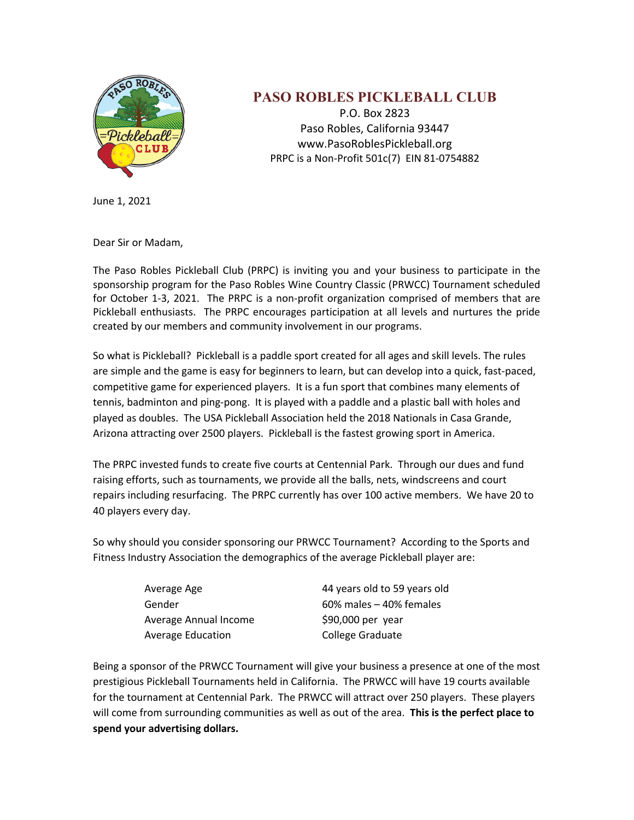

## **PASO ROBLES PICKLEBALL CLUB**

P.O. Box 2823 Paso Robles, California 93447 www.PasoRoblesPickleball.org PRPC is a Non-Profit 501c(7) EIN 81-0754882

June 1, 2021

Dear Sir or Madam,

The Paso Robles Pickleball Club (PRPC) is inviting you and your business to participate in the sponsorship program for the Paso Robles Wine Country Classic (PRWCC) Tournament scheduled for October 1-3, 2021. The PRPC is a non-profit organization comprised of members that are Pickleball enthusiasts. The PRPC encourages participation at all levels and nurtures the pride created by our members and community involvement in our programs.

So what is Pickleball? Pickleball is a paddle sport created for all ages and skill levels. The rules are simple and the game is easy for beginners to learn, but can develop into a quick, fast-paced, competitive game for experienced players. It is a fun sport that combines many elements of tennis, badminton and ping-pong. It is played with a paddle and a plastic ball with holes and played as doubles. The USA Pickleball Association held the 2018 Nationals in Casa Grande, Arizona attracting over 2500 players. Pickleball is the fastest growing sport in America.

The PRPC invested funds to create five courts at Centennial Park. Through our dues and fund raising efforts, such as tournaments, we provide all the balls, nets, windscreens and court repairs including resurfacing. The PRPC currently has over 100 active members. We have 20 to 40 players every day.

So why should you consider sponsoring our PRWCC Tournament? According to the Sports and Fitness Industry Association the demographics of the average Pickleball player are:

| Average Age              | 44 years old to 59 years old |
|--------------------------|------------------------------|
| Gender                   | $60\%$ males $-40\%$ females |
| Average Annual Income    | \$90,000 per year            |
| <b>Average Education</b> | <b>College Graduate</b>      |

Being a sponsor of the PRWCC Tournament will give your business a presence at one of the most prestigious Pickleball Tournaments held in California. The PRWCC will have 19 courts available for the tournament at Centennial Park. The PRWCC will attract over 250 players. These players will come from surrounding communities as well as out of the area. **This is the perfect place to spend your advertising dollars.**